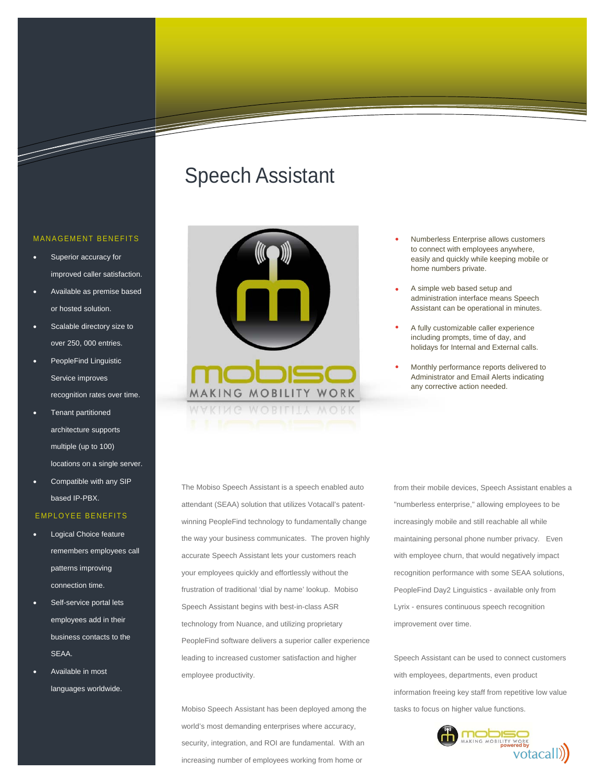## Speech Assistant



- Numberless Enterprise allows customers to connect with employees anywhere, easily and quickly while keeping mobile or home numbers private.
- A simple web based setup and administration interface means Speech Assistant can be operational in minutes.
- A fully customizable caller experience including prompts, time of day, and holidays for Internal and External calls.
- Monthly performance reports delivered to Administrator and Email Alerts indicating any corrective action needed.

The Mobiso Speech Assistant is a speech enabled auto attendant (SEAA) solution that utilizes Votacall's patentwinning PeopleFind technology to fundamentally change the way your business communicates. The proven highly accurate Speech Assistant lets your customers reach your employees quickly and effortlessly without the frustration of traditional 'dial by name' lookup. Mobiso Speech Assistant begins with best-in-class ASR technology from Nuance, and utilizing proprietary PeopleFind software delivers a superior caller experience leading to increased customer satisfaction and higher employee productivity.

Mobiso Speech Assistant has been deployed among the world's most demanding enterprises where accuracy, security, integration, and ROI are fundamental. With an increasing number of employees working from home or

from their mobile devices, Speech Assistant enables a "numberless enterprise," allowing employees to be increasingly mobile and still reachable all while maintaining personal phone number privacy. Even with employee churn, that would negatively impact recognition performance with some SEAA solutions, PeopleFind Day2 Linguistics - available only from Lyrix - ensures continuous speech recognition improvement over time.

Speech Assistant can be used to connect customers with employees, departments, even product information freeing key staff from repetitive low value tasks to focus on higher value functions.



#### MANAGEMENT BENEFITS

- Superior accuracy for improved caller satisfaction.
- Available as premise based or hosted solution.
- Scalable directory size to over 250, 000 entries.
- PeopleFind Linguistic Service improves recognition rates over time.
- Tenant partitioned architecture supports multiple (up to 100) locations on a single server.
- Compatible with any SIP based IP-PBX.

#### EMPLOYEE BENEFITS

- Logical Choice feature remembers employees call patterns improving connection time.
- Self-service portal lets employees add in their business contacts to the SEAA.
- Available in most languages worldwide.